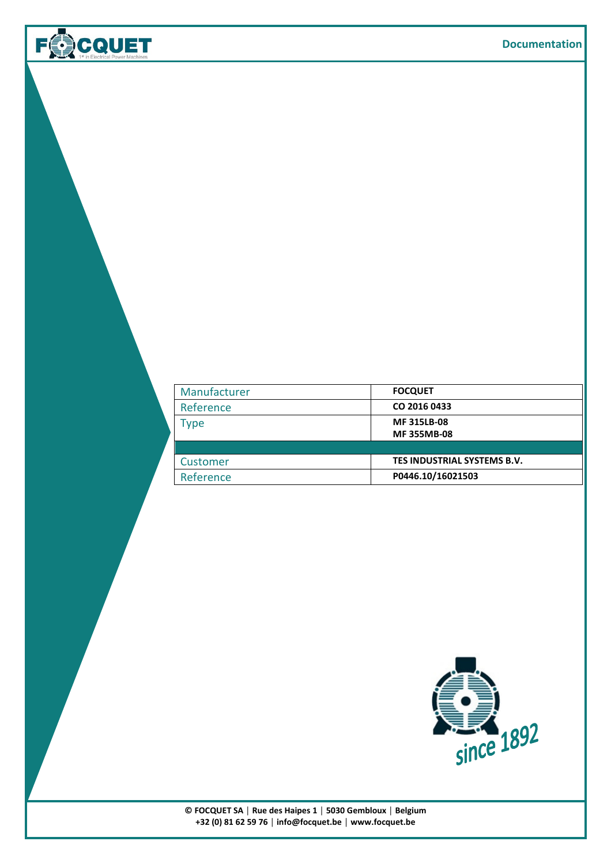| Manufacturer | <b>FOCQUET</b>              |
|--------------|-----------------------------|
| Reference    | CO 2016 0433                |
| Type         | <b>MF315LB-08</b>           |
|              | <b>MF355MB-08</b>           |
|              |                             |
| Customer     | TES INDUSTRIAL SYSTEMS B.V. |
| Reference    | P0446.10/16021503           |

**FOCOUET** 

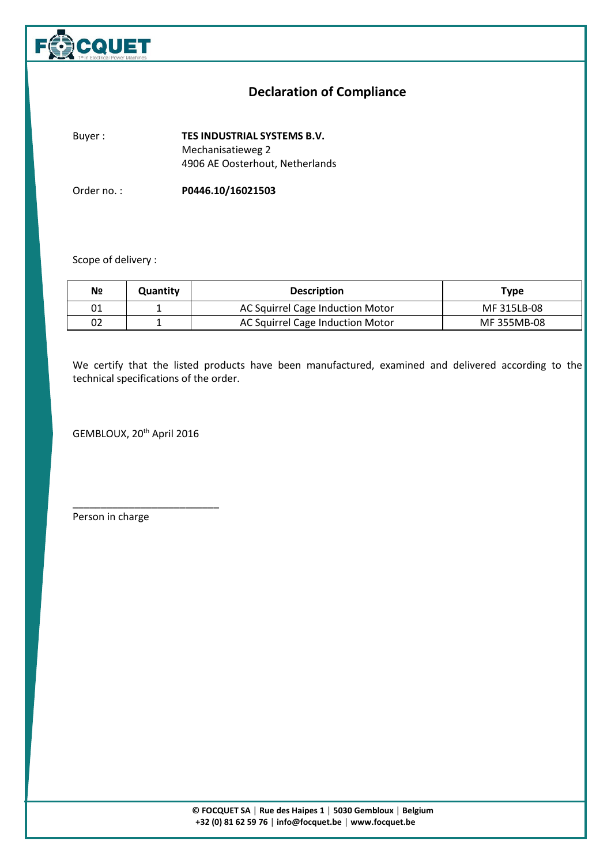

## **Declaration of Compliance**

**l** 

Buyer : **TES INDUSTRIAL SYSTEMS B.V.** Mechanisatieweg 2 4906 AE Oosterhout, Netherlands

Order no. : **P0446.10/16021503**

## Scope of delivery :

| Nº | Quantity | <b>Description</b>               | <b>Type</b> |
|----|----------|----------------------------------|-------------|
| 01 |          | AC Squirrel Cage Induction Motor | MF 315LB-08 |
| 02 |          | AC Squirrel Cage Induction Motor | MF 355MB-08 |

We certify that the listed products have been manufactured, examined and delivered according to the technical specifications of the order.

GEMBLOUX, 20<sup>th</sup> April 2016

\_\_\_\_\_\_\_\_\_\_\_\_\_\_\_\_\_\_\_\_\_\_\_\_\_\_

Person in charge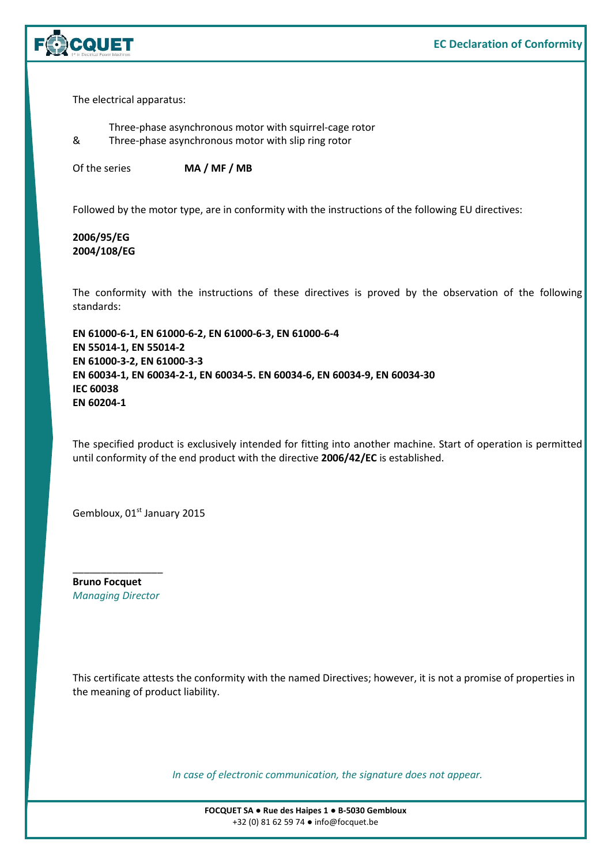

The electrical apparatus:

Three-phase asynchronous motor with squirrel-cage rotor & Three-phase asynchronous motor with slip ring rotor

Of the series **MA / MF / MB**

Followed by the motor type, are in conformity with the instructions of the following EU directives:

**2006/95/EG 2004/108/EG** 

The conformity with the instructions of these directives is proved by the observation of the following standards:

**EN 61000-6-1, EN 61000-6-2, EN 61000-6-3, EN 61000-6-4 EN 55014-1, EN 55014-2 EN 61000-3-2, EN 61000-3-3 EN 60034-1, EN 60034-2-1, EN 60034-5. EN 60034-6, EN 60034-9, EN 60034-30 IEC 60038 EN 60204-1** 

The specified product is exclusively intended for fitting into another machine. Start of operation is permitted until conformity of the end product with the directive **2006/42/EC** is established.

Gembloux, 01st January 2015

**Bruno Focquet**  *Managing Director* 

\_\_\_\_\_\_\_\_\_\_\_\_\_\_\_\_

This certificate attests the conformity with the named Directives; however, it is not a promise of properties in the meaning of product liability.

*In case of electronic communication, the signature does not appear.*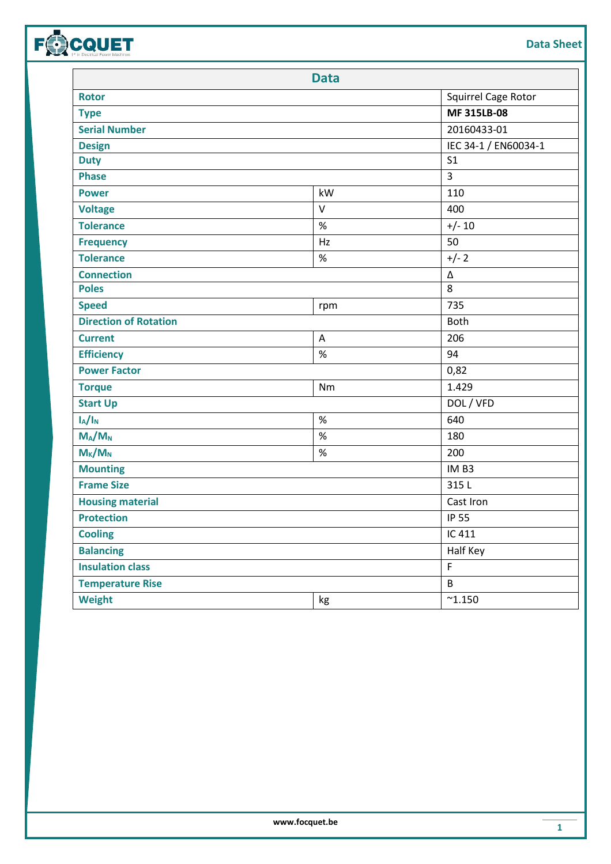| <b>Data Sheet</b> |
|-------------------|
|                   |

|                              | <b>Data</b>  |                      |
|------------------------------|--------------|----------------------|
| <b>Rotor</b>                 |              | Squirrel Cage Rotor  |
| <b>Type</b>                  | MF 315LB-08  |                      |
| <b>Serial Number</b>         | 20160433-01  |                      |
| <b>Design</b>                |              | IEC 34-1 / EN60034-1 |
| <b>Duty</b>                  |              | S <sub>1</sub>       |
| <b>Phase</b>                 |              | 3                    |
| <b>Power</b>                 | kW           | 110                  |
| <b>Voltage</b>               | $\mathsf{V}$ | 400                  |
| <b>Tolerance</b>             | $\%$         | $+/- 10$             |
| <b>Frequency</b>             | Hz           | 50                   |
| <b>Tolerance</b>             | $\%$         | $+/- 2$              |
| <b>Connection</b>            |              | Δ                    |
| <b>Poles</b>                 |              | 8                    |
| <b>Speed</b>                 | rpm          | 735                  |
| <b>Direction of Rotation</b> |              | <b>Both</b>          |
| <b>Current</b>               | A            | 206                  |
| <b>Efficiency</b>            | $\%$         | 94                   |
| <b>Power Factor</b>          |              | 0,82                 |
| <b>Torque</b>                | Nm           | 1.429                |
| <b>Start Up</b>              |              | DOL / VFD            |
| $I_A/I_N$                    | $\%$         | 640                  |
| $M_A/M_N$                    | $\%$         | 180                  |
| $M_{K}/M_{N}$                | $\%$         | 200                  |
| <b>Mounting</b>              |              | IM <sub>B3</sub>     |
| <b>Frame Size</b>            |              | 315L                 |
| <b>Housing material</b>      |              | Cast Iron            |
| <b>Protection</b>            |              | <b>IP 55</b>         |
| <b>Cooling</b>               |              | IC 411               |
| <b>Balancing</b>             |              | Half Key             |
| <b>Insulation class</b>      |              | F.                   |
| <b>Temperature Rise</b>      |              | $\sf B$              |
| <b>Weight</b>                | kg           | $^{\sim}1.150$       |
|                              |              |                      |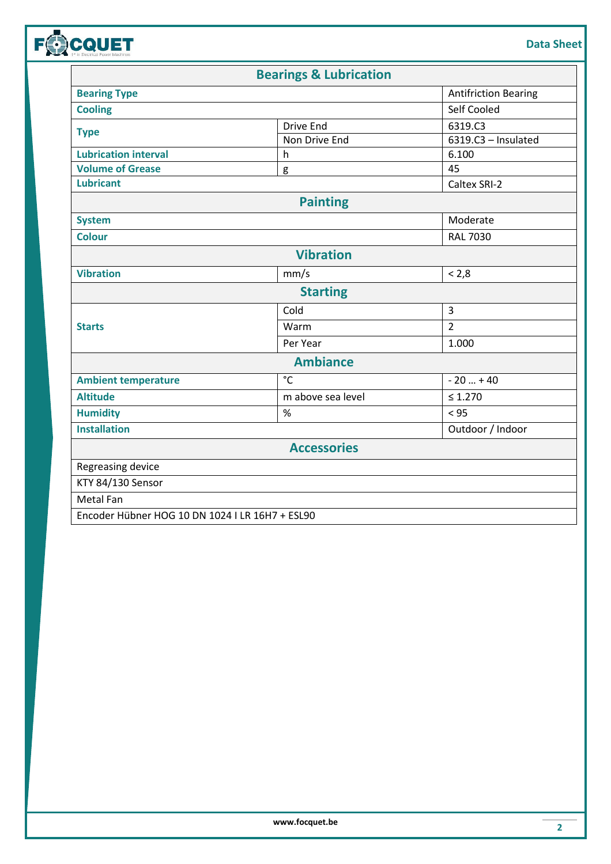| Data Sheet |
|------------|
|------------|

|                                                 | <b>Bearings &amp; Lubrication</b> |                             |
|-------------------------------------------------|-----------------------------------|-----------------------------|
| <b>Bearing Type</b>                             |                                   | <b>Antifriction Bearing</b> |
| <b>Cooling</b>                                  |                                   | Self Cooled                 |
|                                                 | <b>Drive End</b>                  | 6319.C3                     |
| <b>Type</b>                                     | Non Drive End                     | 6319.C3 - Insulated         |
| <b>Lubrication interval</b>                     | h                                 | 6.100                       |
| <b>Volume of Grease</b>                         | g                                 | 45                          |
| <b>Lubricant</b>                                |                                   | Caltex SRI-2                |
|                                                 | <b>Painting</b>                   |                             |
| <b>System</b>                                   |                                   | Moderate                    |
| <b>Colour</b>                                   |                                   | <b>RAL 7030</b>             |
|                                                 | <b>Vibration</b>                  |                             |
| <b>Vibration</b>                                | mm/s                              | < 2,8                       |
|                                                 | <b>Starting</b>                   |                             |
|                                                 | Cold                              | $\overline{3}$              |
| <b>Starts</b>                                   | Warm                              | $\overline{2}$              |
|                                                 | Per Year                          | 1.000                       |
|                                                 | <b>Ambiance</b>                   |                             |
| <b>Ambient temperature</b>                      | $^{\circ}$ C                      | $-20  + 40$                 |
| <b>Altitude</b>                                 | m above sea level                 | $\leq 1.270$                |
| <b>Humidity</b>                                 | $\%$                              | < 95                        |
| <b>Installation</b>                             |                                   | Outdoor / Indoor            |
|                                                 | <b>Accessories</b>                |                             |
| Regreasing device                               |                                   |                             |
| KTY 84/130 Sensor                               |                                   |                             |
| <b>Metal Fan</b>                                |                                   |                             |
| Encoder Hübner HOG 10 DN 1024 I LR 16H7 + ESL90 |                                   |                             |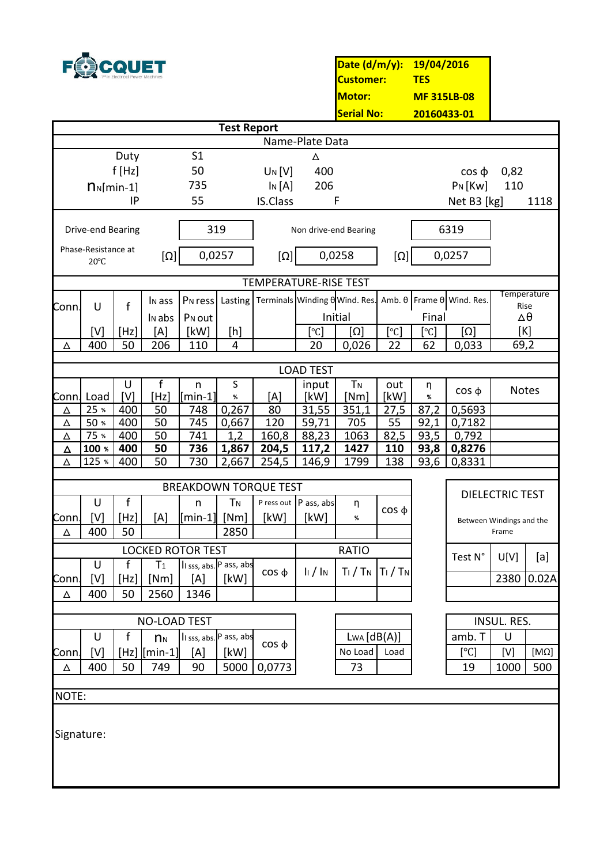

**Date (d/m/y): 19/04/2016 Customer: TES MF 315LB-08 20160433-01 Motor: Serial No:**

|                    |                                                                                                                                                                                                                               |              |                     |                                       |                         |                              |                                           | <u>senarivu.</u>                |                                | <u>ZUIDU4JJ-UI</u> |                               |                          |             |
|--------------------|-------------------------------------------------------------------------------------------------------------------------------------------------------------------------------------------------------------------------------|--------------|---------------------|---------------------------------------|-------------------------|------------------------------|-------------------------------------------|---------------------------------|--------------------------------|--------------------|-------------------------------|--------------------------|-------------|
| <b>Test Report</b> |                                                                                                                                                                                                                               |              |                     |                                       |                         |                              |                                           |                                 |                                |                    |                               |                          |             |
|                    | Name-Plate Data<br>S <sub>1</sub>                                                                                                                                                                                             |              |                     |                                       |                         |                              |                                           |                                 |                                |                    |                               |                          |             |
|                    |                                                                                                                                                                                                                               | Duty         |                     | 50                                    |                         |                              | Δ                                         |                                 |                                |                    |                               |                          |             |
|                    | $n_N$ [min-1]                                                                                                                                                                                                                 | $f$ [Hz]     |                     | 735                                   |                         | UN[V]<br>$\ln[A]$            | 400<br>206                                |                                 |                                |                    | $\cos \phi$<br>$P_N$ [Kw]     | 0,82<br>110              |             |
|                    |                                                                                                                                                                                                                               | IP           |                     | 55                                    |                         | <b>IS.Class</b>              |                                           | $\mathsf F$                     |                                |                    | Net B3 [kg]                   |                          | 1118        |
|                    |                                                                                                                                                                                                                               |              |                     |                                       |                         |                              |                                           |                                 |                                |                    |                               |                          |             |
|                    | Drive-end Bearing                                                                                                                                                                                                             |              |                     |                                       | 319                     |                              |                                           | Non drive-end Bearing           |                                |                    | 6319                          |                          |             |
|                    | Phase-Resistance at                                                                                                                                                                                                           |              |                     |                                       |                         |                              |                                           |                                 |                                |                    |                               |                          |             |
|                    | $20^{\circ}$ C                                                                                                                                                                                                                |              | $[\Omega]$          | 0,0257                                |                         | $\lceil \Omega \rceil$       |                                           | 0,0258                          | $[\Omega]$                     |                    | 0,0257                        |                          |             |
|                    |                                                                                                                                                                                                                               |              |                     |                                       |                         | <b>TEMPERATURE-RISE TEST</b> |                                           |                                 |                                |                    |                               |                          |             |
|                    |                                                                                                                                                                                                                               |              |                     |                                       |                         |                              |                                           |                                 |                                |                    |                               | Temperature              |             |
| Conn.              | U                                                                                                                                                                                                                             | $\mathsf{f}$ | I <sub>N</sub> ass  | P <sub>N</sub> ress                   | Lasting                 |                              |                                           | Terminals Winding 0 Wind. Res.  |                                |                    | Amb. $θ$ Frame $θ$ Wind. Res. | Rise                     |             |
|                    |                                                                                                                                                                                                                               |              | I <sub>N</sub> abs  | P <sub>N</sub> out                    |                         |                              |                                           | Initial                         |                                | Final              |                               | $\Delta\theta$           |             |
|                    | [V]<br>400                                                                                                                                                                                                                    | [Hz]<br>50   | [A]<br>206          | [kW]<br>110                           | [h]<br>4                |                              | $\lceil \text{°C} \rceil$<br>20           | $\lceil \Omega \rceil$<br>0,026 | $ \,^{\circ}\textrm{C} $<br>22 | [°C]<br>62         | $\Omega$<br>0,033             | [K]<br>$69,\overline{2}$ |             |
| Δ                  |                                                                                                                                                                                                                               |              |                     |                                       |                         |                              |                                           |                                 |                                |                    |                               |                          |             |
|                    |                                                                                                                                                                                                                               |              |                     |                                       |                         |                              | <b>LOAD TEST</b>                          |                                 |                                |                    |                               |                          |             |
|                    |                                                                                                                                                                                                                               | U            | f                   | n                                     | S                       |                              | input                                     | <b>TN</b>                       | out                            | η                  | $\cos \phi$                   | Notes                    |             |
|                    | Conn. Load                                                                                                                                                                                                                    | [V]          | [Hz]                | $[min-1]$                             | %                       | [A]                          | [kW]                                      | [Nm]                            | [kW]                           | %                  |                               |                          |             |
| Δ                  | 25 %<br>50 %                                                                                                                                                                                                                  | 400          | 50                  | 748                                   | 0,267                   | 80                           | 31,55                                     | 351,1                           | 27,5                           | 87,2               | 0,5693                        |                          |             |
| Δ<br>Δ             | 75 %                                                                                                                                                                                                                          | 400<br>400   | 50<br>50            | 745<br>741                            | 0,667<br>1,2            | 120<br>160,8                 | 59,71<br>88,23                            | 705<br>1063                     | 55<br>82,5                     | 92,1<br>93,5       | 0,7182<br>0,792               |                          |             |
| Δ                  | 100 %                                                                                                                                                                                                                         | 400          | 50                  | 736                                   | 1,867                   | 204,5                        | 117,2                                     | 1427                            | 110                            | 93,8               | 0,8276                        |                          |             |
| Δ                  | 125 %                                                                                                                                                                                                                         | 400          | 50                  | 730                                   | 2,667                   | 254,5                        | 146,9                                     | 1799                            | 138                            | 93,6               | 0,8331                        |                          |             |
|                    |                                                                                                                                                                                                                               |              |                     |                                       |                         |                              |                                           |                                 |                                |                    |                               |                          |             |
|                    |                                                                                                                                                                                                                               |              |                     |                                       |                         | <b>BREAKDOWN TORQUE TEST</b> |                                           |                                 |                                |                    |                               | <b>DIELECTRIC TEST</b>   |             |
|                    | U                                                                                                                                                                                                                             | $\mathsf{f}$ |                     | n                                     | <b>TN</b>               |                              | P ress out P ass, abs                     | η                               | $\cos \phi$                    |                    |                               |                          |             |
| Conn.              | [V]                                                                                                                                                                                                                           | [Hz]         | [A]                 | $\lceil \mathsf{min\text{-}1} \rceil$ | [Nm]                    | [kW]                         | [kW]                                      | %                               |                                |                    |                               | Between Windings and the |             |
| Δ                  | 400                                                                                                                                                                                                                           | 50           |                     |                                       | 2850                    |                              |                                           |                                 |                                |                    |                               | Frame                    |             |
|                    |                                                                                                                                                                                                                               |              |                     | <b>LOCKED ROTOR TEST</b>              |                         |                              |                                           | <b>RATIO</b>                    |                                |                    | Test N°                       | U[V]                     | [a]         |
|                    | U                                                                                                                                                                                                                             | f            | T <sub>1</sub>      |                                       | Il sss, abs. P ass, abs | $\cos \phi$                  | $\frac{1}{2}$ $\frac{1}{2}$ $\frac{1}{2}$ | $T_1/T_N$ $T_1/T_N$             |                                |                    |                               |                          |             |
| Conn.              | $[V] % \begin{center} % \includegraphics[width=\linewidth]{imagesSupplemental_3.png} % \end{center} % \caption { % Our method shows the proposed method. % Our method shows the proposed method. % } % \label{fig:example} %$ | [Hz]<br>50   | [Nm]<br>2560        | [A]                                   | [kW]                    |                              |                                           |                                 |                                |                    |                               |                          | 2380 0.02A  |
| Δ                  | 400                                                                                                                                                                                                                           |              |                     | 1346                                  |                         |                              |                                           |                                 |                                |                    |                               |                          |             |
|                    |                                                                                                                                                                                                                               |              | <b>NO-LOAD TEST</b> |                                       |                         |                              |                                           |                                 |                                |                    |                               | INSUL. RES.              |             |
|                    | U                                                                                                                                                                                                                             | $\mathbf f$  | $n_{N}$             |                                       | Il sss, abs. P ass, abs |                              |                                           | $L_{WA} [dB(A)]$                |                                |                    | amb. T                        | U                        |             |
| Conn.              | [V]                                                                                                                                                                                                                           |              | $[Hz]$ $[min-1]$    | [A]                                   | [kW]                    | $\cos \phi$                  |                                           | No Load                         | Load                           |                    | [°C]                          | [V]                      | $[M\Omega]$ |
| Δ                  | 400                                                                                                                                                                                                                           | 50           | 749                 | 90                                    | 5000                    | 0,0773                       |                                           | 73                              |                                |                    | 19                            | 1000                     | 500         |
|                    |                                                                                                                                                                                                                               |              |                     |                                       |                         |                              |                                           |                                 |                                |                    |                               |                          |             |
| NOTE:              |                                                                                                                                                                                                                               |              |                     |                                       |                         |                              |                                           |                                 |                                |                    |                               |                          |             |
|                    |                                                                                                                                                                                                                               |              |                     |                                       |                         |                              |                                           |                                 |                                |                    |                               |                          |             |
| Signature:         |                                                                                                                                                                                                                               |              |                     |                                       |                         |                              |                                           |                                 |                                |                    |                               |                          |             |
|                    |                                                                                                                                                                                                                               |              |                     |                                       |                         |                              |                                           |                                 |                                |                    |                               |                          |             |
|                    |                                                                                                                                                                                                                               |              |                     |                                       |                         |                              |                                           |                                 |                                |                    |                               |                          |             |
|                    |                                                                                                                                                                                                                               |              |                     |                                       |                         |                              |                                           |                                 |                                |                    |                               |                          |             |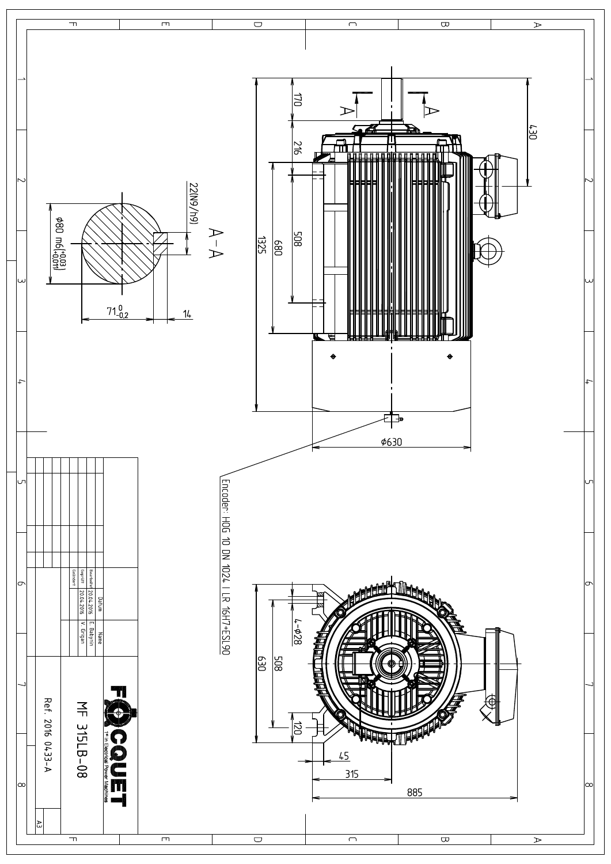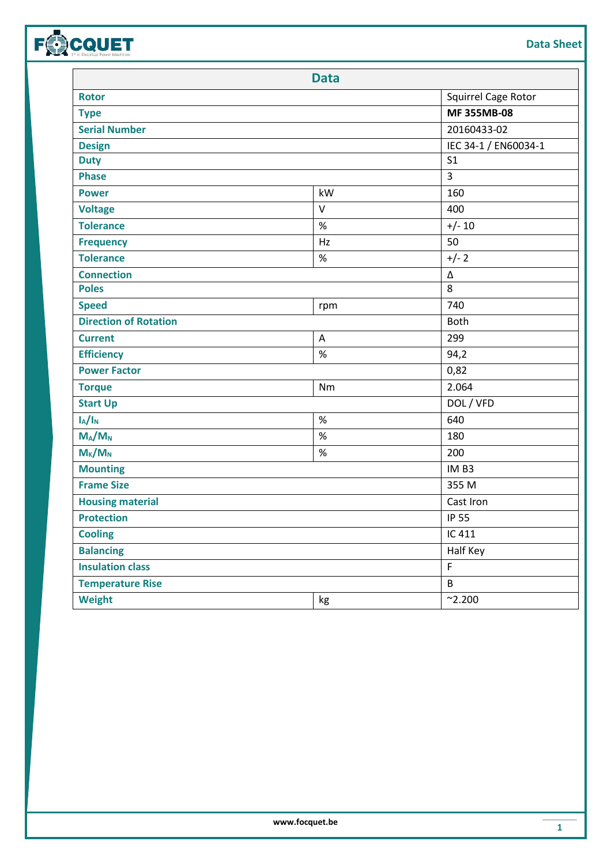| <b>Data Sheet</b> |
|-------------------|
|                   |

|                              | <b>Data</b>  |                      |
|------------------------------|--------------|----------------------|
| <b>Rotor</b>                 |              | Squirrel Cage Rotor  |
| <b>Type</b>                  | MF 355MB-08  |                      |
| <b>Serial Number</b>         | 20160433-02  |                      |
| <b>Design</b>                |              | IEC 34-1 / EN60034-1 |
| <b>Duty</b>                  |              | S <sub>1</sub>       |
| <b>Phase</b>                 |              | 3                    |
| <b>Power</b>                 | kW           | 160                  |
| <b>Voltage</b>               | $\mathsf{V}$ | 400                  |
| <b>Tolerance</b>             | $\%$         | $+/- 10$             |
| <b>Frequency</b>             | Hz           | 50                   |
| <b>Tolerance</b>             | $\%$         | $+/- 2$              |
| <b>Connection</b>            |              | Δ                    |
| <b>Poles</b>                 |              | 8                    |
| <b>Speed</b>                 | rpm          | 740                  |
| <b>Direction of Rotation</b> |              | <b>Both</b>          |
| <b>Current</b>               | A            | 299                  |
| <b>Efficiency</b>            | $\%$         | 94,2                 |
| <b>Power Factor</b>          |              | 0,82                 |
| <b>Torque</b>                | Nm           | 2.064                |
| <b>Start Up</b>              |              | DOL / VFD            |
| $I_A/I_N$                    | $\%$         | 640                  |
| $M_A/M_N$                    | $\%$         | 180                  |
| $M_{K}/M_{N}$                | $\%$         | 200                  |
| <b>Mounting</b>              |              | IM <sub>B3</sub>     |
| <b>Frame Size</b>            |              | 355 M                |
| <b>Housing material</b>      |              | Cast Iron            |
| <b>Protection</b>            |              | <b>IP 55</b>         |
| <b>Cooling</b>               |              | IC 411               |
| <b>Balancing</b>             |              | Half Key             |
| <b>Insulation class</b>      |              | F                    |
| <b>Temperature Rise</b>      |              | $\sf B$              |
| <b>Weight</b>                | kg           | $^{\sim}$ 2.200      |
|                              |              |                      |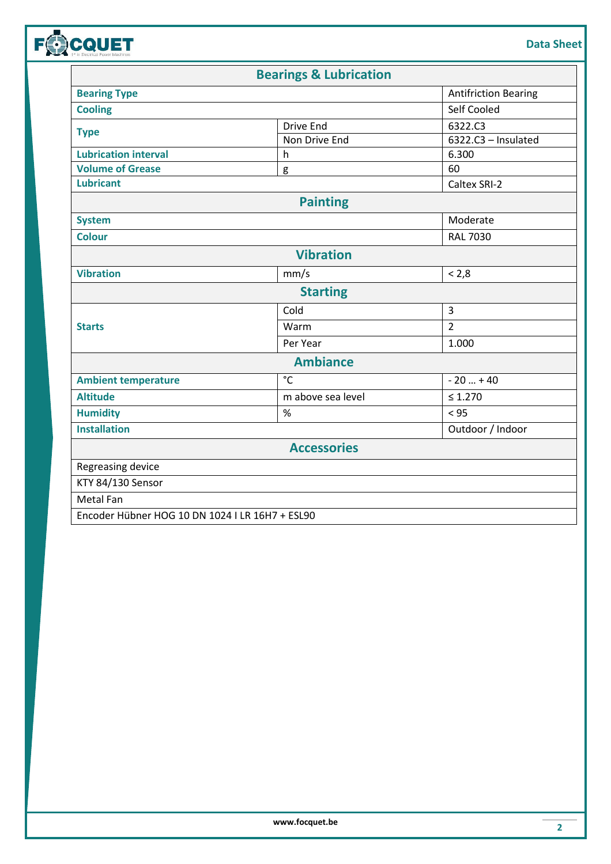| <b>Data Sheet</b> |
|-------------------|
|-------------------|

|                                                 | <b>Bearings &amp; Lubrication</b> |                             |
|-------------------------------------------------|-----------------------------------|-----------------------------|
| <b>Bearing Type</b>                             |                                   | <b>Antifriction Bearing</b> |
| <b>Cooling</b>                                  |                                   | Self Cooled                 |
|                                                 | <b>Drive End</b>                  | 6322.C3                     |
| <b>Type</b>                                     | Non Drive End                     | $6322.C3$ - Insulated       |
| <b>Lubrication interval</b>                     | h                                 | 6.300                       |
| <b>Volume of Grease</b>                         | g                                 | 60                          |
| <b>Lubricant</b>                                |                                   | Caltex SRI-2                |
|                                                 | <b>Painting</b>                   |                             |
| <b>System</b>                                   |                                   | Moderate                    |
| <b>Colour</b>                                   |                                   | <b>RAL 7030</b>             |
|                                                 | <b>Vibration</b>                  |                             |
| <b>Vibration</b>                                | mm/s                              | < 2,8                       |
|                                                 | <b>Starting</b>                   |                             |
|                                                 | Cold                              | $\overline{3}$              |
| <b>Starts</b>                                   | Warm                              | $\overline{2}$              |
|                                                 | Per Year                          | 1.000                       |
|                                                 | <b>Ambiance</b>                   |                             |
| <b>Ambient temperature</b>                      | $^{\circ}$ C                      | $-20+40$                    |
| <b>Altitude</b>                                 | m above sea level                 | $\leq 1.270$                |
| <b>Humidity</b>                                 | %                                 | < 95                        |
| <b>Installation</b>                             |                                   | Outdoor / Indoor            |
|                                                 | <b>Accessories</b>                |                             |
| Regreasing device                               |                                   |                             |
| KTY 84/130 Sensor                               |                                   |                             |
| <b>Metal Fan</b>                                |                                   |                             |
| Encoder Hübner HOG 10 DN 1024 I LR 16H7 + ESL90 |                                   |                             |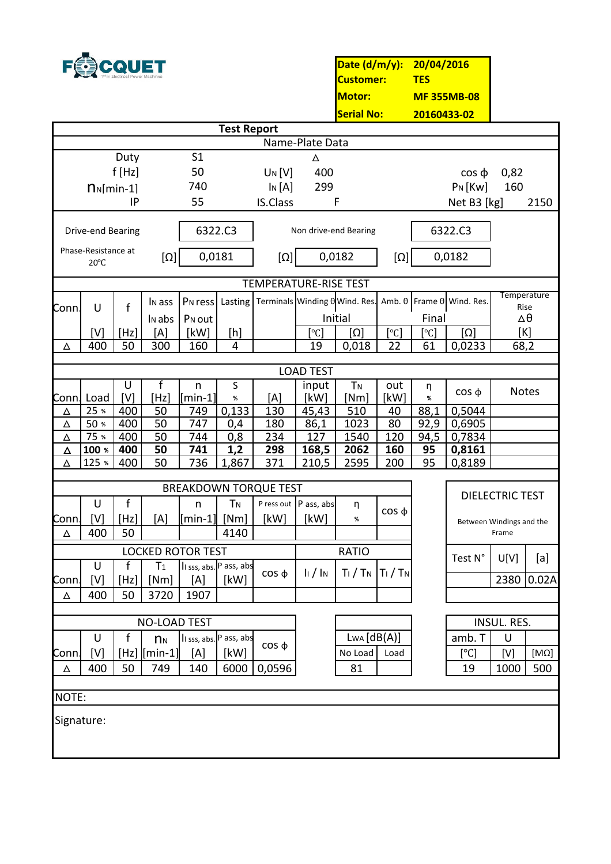

**Date (d/m/y): 20/04/2016 Customer: TES MF 355MB-08 20160433-02 Motor: Serial No:**

|                 | <b>Test Report</b>                    |              |                           |                              |                |                                |                           |                       |             |            |                                         |                          |                    |
|-----------------|---------------------------------------|--------------|---------------------------|------------------------------|----------------|--------------------------------|---------------------------|-----------------------|-------------|------------|-----------------------------------------|--------------------------|--------------------|
| Name-Plate Data |                                       |              |                           |                              |                |                                |                           |                       |             |            |                                         |                          |                    |
|                 |                                       | Duty         |                           | S <sub>1</sub>               |                |                                | Δ                         |                       |             |            |                                         |                          |                    |
|                 |                                       | f[Hz]        |                           | 50                           |                | UN[V]                          | 400                       |                       |             |            | $\cos \phi$                             | 0,82                     |                    |
|                 | $n_N$ [min-1]                         |              |                           | 740                          |                | $\ln[A]$                       | 299                       |                       |             |            | $P_N$ [Kw]                              | 160                      |                    |
|                 |                                       | IP           |                           | 55                           |                | <b>IS.Class</b>                |                           | F                     |             |            | Net B3 [kg]                             |                          | 2150               |
|                 | Drive-end Bearing                     |              |                           |                              | 6322.C3        |                                |                           | Non drive-end Bearing |             |            | 6322.C3                                 |                          |                    |
|                 | Phase-Resistance at<br>$20^{\circ}$ C |              | $[\Omega]$                | 0,0181                       |                | $[\Omega]$                     |                           | 0,0182                | $[\Omega]$  |            | 0,0182                                  |                          |                    |
|                 |                                       |              |                           |                              |                | <b>TEMPERATURE-RISE TEST</b>   |                           |                       |             |            |                                         |                          |                    |
|                 |                                       |              | I <sub>N</sub> ass        | P <sub>N</sub> ress          | Lasting        | Terminals Winding O Wind. Res. |                           |                       |             |            | Amb. $\theta$ Frame $\theta$ Wind. Res. |                          | <b>Temperature</b> |
| Conn.           | U                                     | f            |                           | P <sub>N</sub> out           |                |                                |                           | Initial               |             | Final      |                                         |                          | Rise<br>Δθ         |
|                 | [V]                                   | [Hz]         | I <sub>N</sub> abs<br>[A] | [kW]                         | [h]            |                                | $\lceil \text{°C} \rceil$ | $[\Omega]$            | [°C]        | [°C]       | $[\Omega]$                              |                          | [K]                |
| Δ               | 400                                   | 50           | 300                       | 160                          | 4              |                                | 19                        | 0,018                 | 22          | 61         | 0,0233                                  | 68,2                     |                    |
|                 |                                       |              |                           |                              |                |                                |                           |                       |             |            |                                         |                          |                    |
|                 |                                       |              |                           |                              |                |                                | <b>LOAD TEST</b>          |                       |             |            |                                         |                          |                    |
|                 |                                       | U            | f                         | $\mathsf{n}$                 | S              |                                | input                     | <b>TN</b>             | out         | η          | $\cos \phi$                             | <b>Notes</b>             |                    |
| Conn. Load      |                                       | [V]          | [Hz]                      | $[min-1]$                    | %              | [A]                            | [kW]                      | [Nm]                  | [kW]        | %          |                                         |                          |                    |
| Δ               | 25 %                                  | 400          | 50                        | 749                          | 0,133          | 130                            | 45,43                     | 510                   | 40          | 88,1       | 0,5044                                  |                          |                    |
| Δ               | 50 %<br>75 %                          | 400<br>400   | 50<br>50                  | 747<br>744                   | 0,4            | 180<br>234                     | 86,1<br>127               | 1023<br>1540          | 80          | 92,9       | 0,6905                                  |                          |                    |
| Δ<br>Δ          | 100 %                                 | 400          | 50                        | 741                          | 0,8<br>1,2     | 298                            | 168,5                     | 2062                  | 120<br>160  | 94,5<br>95 | 0,7834<br>0,8161                        |                          |                    |
| Δ               | 125 %                                 | 400          | 50                        | 736                          | 1,867          | 371                            | 210,5                     | 2595                  | 200         | 95         | 0,8189                                  |                          |                    |
|                 |                                       |              |                           |                              |                |                                |                           |                       |             |            |                                         |                          |                    |
|                 |                                       |              |                           |                              |                | <b>BREAKDOWN TORQUE TEST</b>   |                           |                       |             |            |                                         |                          |                    |
|                 | U                                     | $\mathsf{f}$ |                           | n                            | <b>TN</b>      |                                | P ress out P ass, abs     | η                     |             |            |                                         | <b>DIELECTRIC TEST</b>   |                    |
| Conn.           | [V]                                   | [Hz]         | [A]                       | $\lceil \text{min-1} \rceil$ | [Nm]           | [kW]                           | [kW]                      | %                     | $\cos \phi$ |            |                                         | Between Windings and the |                    |
| Δ               | 400                                   | 50           |                           |                              | 4140           |                                |                           |                       |             |            |                                         | Frame                    |                    |
|                 |                                       |              | <b>LOCKED ROTOR TEST</b>  |                              |                |                                |                           | <b>RATIO</b>          |             |            | Test N°                                 |                          |                    |
|                 | U                                     | $\mathbf f$  | T <sub>1</sub>            | Il sss, abs. P ass, abs      |                | $\cos \phi$                    | $\ln / \ln$               | $T_1/T_N$ $T_1/T_N$   |             |            |                                         | U[V]                     | [a]                |
| Lonn.           | [V]                                   | $[Hz]$       | [Nm]                      | $[{\mathsf A}]$              | $\lfloor$ [kW] |                                |                           |                       |             |            |                                         |                          | 2380 0.02A         |
| Δ               | 400                                   | 50           | 3720                      | 1907                         |                |                                |                           |                       |             |            |                                         |                          |                    |
|                 |                                       |              | <b>NO-LOAD TEST</b>       |                              |                |                                |                           |                       |             |            |                                         | INSUL. RES.              |                    |
|                 | U                                     | f            | $n_{N}$                   | Il sss, abs. P ass, abs      |                |                                |                           | $L_{WA} [dB(A)]$      |             |            | amb. T                                  | U                        |                    |
| Conn.           | [V]                                   |              | $[Hz]$ $[min-1]$          | [A]                          | [kW]           | $\cos \phi$                    |                           | No Load               | Load        |            | [°C]                                    | [V]                      | $[M\Omega]$        |
| Δ               | 400                                   | 50           | 749                       | 140                          | 6000           | 0,0596                         |                           | 81                    |             |            | 19                                      | 1000                     | 500                |
|                 |                                       |              |                           |                              |                |                                |                           |                       |             |            |                                         |                          |                    |
| NOTE:           |                                       |              |                           |                              |                |                                |                           |                       |             |            |                                         |                          |                    |
|                 |                                       |              |                           |                              |                |                                |                           |                       |             |            |                                         |                          |                    |
| Signature:      |                                       |              |                           |                              |                |                                |                           |                       |             |            |                                         |                          |                    |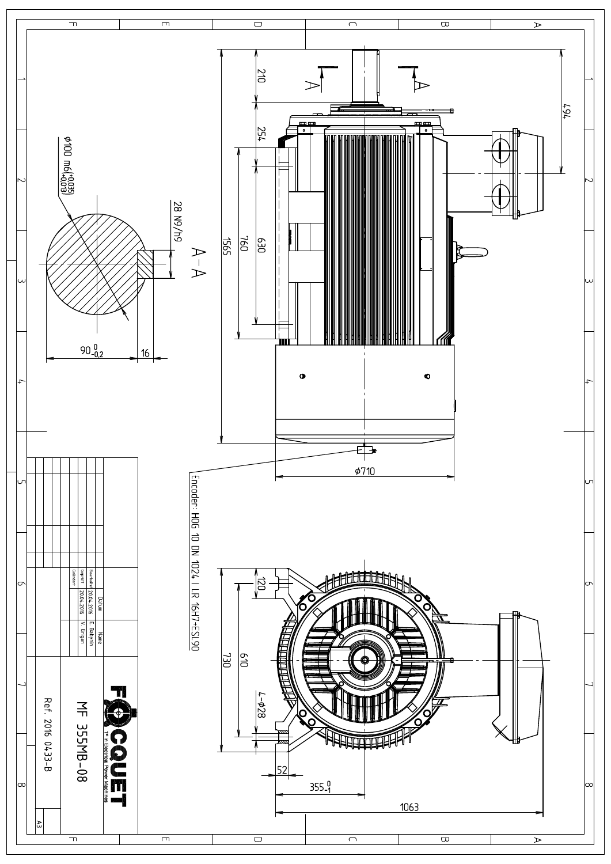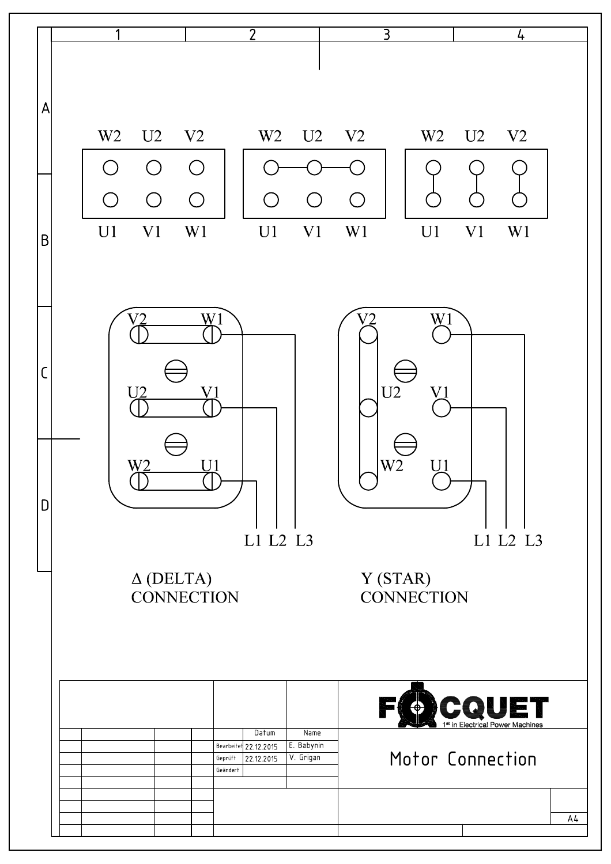